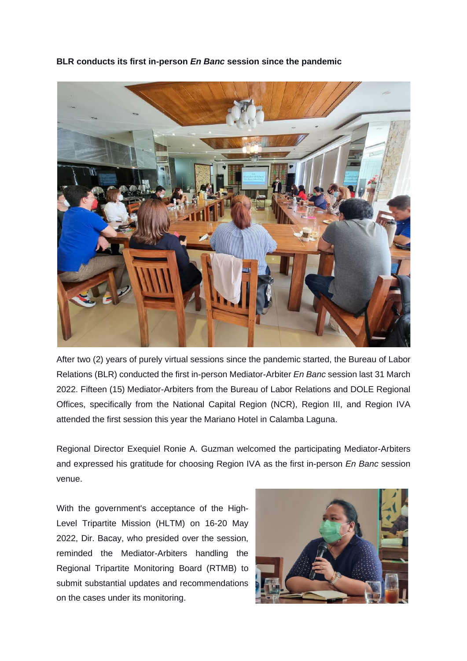**BLR conducts its first in-person** *En Banc* **session since the pandemic**



After two (2) years of purely virtual sessions since the pandemic started, the Bureau of Labor Relations (BLR) conducted the first in-person Mediator-Arbiter *En Banc* session last 31 March 2022. Fifteen (15) Mediator-Arbiters from the Bureau of Labor Relations and DOLE Regional Offices, specifically from the National Capital Region (NCR), Region III, and Region IVA attended the first session this year the Mariano Hotel in Calamba Laguna.

Regional Director Exequiel Ronie A. Guzman welcomed the participating Mediator-Arbiters and expressed his gratitude for choosing Region IVA as the first in-person *En Banc* session venue.

With the government's acceptance of the High-Level Tripartite Mission (HLTM) on 16-20 May 2022, Dir. Bacay, who presided over the session, reminded the Mediator-Arbiters handling the Regional Tripartite Monitoring Board (RTMB) to submit substantial updates and recommendations on the cases under its monitoring.